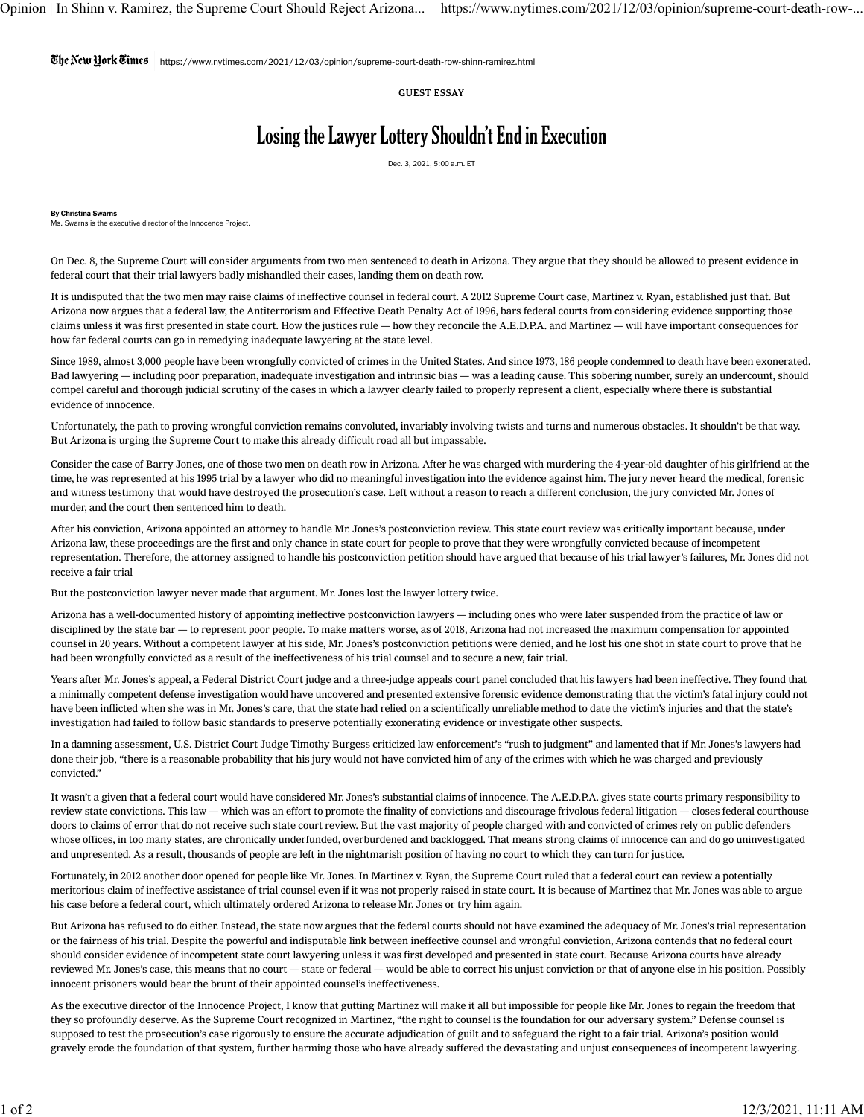$\mathbb{C}$ he $\mathbb{N}$ etu  $\mathbb{N}$ ork $\mathbb{C}$ innes  $|$ https://www.nytimes.com/2021/12/03/opinion/supreme-court-death-row-shinn-ramirez.html

GUEST ESSAY

## Losing the Lawyer Lottery Shouldn't End in Execution

Dec. 3, 2021, 5:00 a.m. ET

By Christina Swarns Ms. Swarns is the executive director of the Innocence Project.

On Dec. 8, the Supreme Court will consider arguments from two men sentenced to death in Arizona. They argue that they should be allowed to present evidence in federal court that their trial lawyers badly mishandled their cases, landing them on death row.

It is undisputed that the two men may raise claims of ineffective counsel in federal court. A 2012 Supreme Court case, Martinez v. Ryan, established just that. But Arizona now argues that a federal law, th[e Antiterrorism and Effective Death Penalty Act of 1996,](https://www.law.cornell.edu/uscode/text/28/2254) bars federal courts from considering evidence supporting those claims unless it was first presented in state court. How the justices rule — how they reconcile the A.E.D.P.A. and Martinez — will have important consequences for how far federal courts can go in remedying inadequate lawyering at the state level.

Since 1989, [almost 3,000 people](https://www.law.umich.edu/special/exoneration/Pages/browse.aspx) have been wrongfully convicted of crimes in the United States. And since 1973, [186 people c](https://deathpenaltyinfo.org/policy-issues/innocence)ondemned to death have been exonerated. Bad lawyering — including poor preparation, inadequate investigation and intrinsic bias — was a leading cause. This sobering number, surely an undercount, should compel careful and thorough judicial scrutiny of the cases in which a lawyer clearly failed to properly represent a client, especially where there is substantial evidence of innocence.

Unfortunately, the path to proving wrongful conviction remains convoluted, invariably involving twists and turns and numerous obstacles. It shouldn't be that way. But Arizona is urging the Supreme Court to make this already difficult road all but impassable.

Consider the case of Barry Jones, one of those two men on death row in Arizona. After he was charged with murdering the 4-year-old daughter of his girlfriend at the time, he was represented at his 1995 trial by a lawyer who did no meaningful investigation into the evidence against him. The jury never heard the medical, forensic and witness testimony that would have destroyed the prosecution's case. Left without a reason to reach a different conclusion, the jury convicted Mr. Jones of murder, and the court then sentenced him to death.

After his conviction, Arizona appointed an attorney to handle Mr. Jones's postconviction review. This state court review was critically important because, under Arizona law, these proceedings are the first and only chance in state court for people to prove that they were wrongfully convicted because of incompetent representation. Therefore, the attorney assigned to handle his postconviction petition should have argued that because of his trial lawyer's failures, Mr. Jones did not receive a fair trial

But the postconviction lawyer never made that argument. Mr. Jones lost the lawyer lottery twice.

Arizona has a [well-documented history](https://www.regulations.gov/comment/DOJ-OLP-2017-0009-0126) of appointing ineffective postconviction lawyers — including ones who were later suspended from the practice of law or disciplined by the state bar — to represent poor people. To make matters worse, as of 2018, Arizona had not increased the maximum compensation for appointed counsel in 20 years. Without a competent lawyer at his side, Mr. Jones's postconviction petitions were denied, and he lost his one shot in state court to prove that he had been wrongfully convicted as a result of the ineffectiveness of his trial counsel and to secure a new, fair trial.

Years after Mr. Jones's appeal, a Federal District Court judge and a three-judge appeals court panel concluded that his lawyers had been ineffective. They [found](https://casetext.com/case/jones-v-ryan-31) that a minimally competent defense investigation would have uncovered and presented extensive forensic evidence demonstrating that the victim's fatal injury could not have been inflicted when she was in Mr. Jones's care, that the state had relied on a scientifically unreliable method to date the victim's injuries and that the state's investigation had failed to follow basic standards to preserve potentially exonerating evidence or investigate other suspects.

In a damning assessment, U.S. District Court Judge Timothy Burgess criticized law enforcement's "rush to judgment" and lamented that if Mr. Jones's lawyers had done their job, "there is a reasonable probability that his jury would not have convicted him of any of the crimes with which he was charged and previously convicted."

It wasn't a given that a federal court would have considered Mr. Jones's substantial claims of innocence. The A.E.D.P.A. gives state courts primary responsibility to review state convictions. This law — which was an effort to promote the [finality of convictions](https://www.nytimes.com/2015/07/17/magazine/the-law-that-keeps-people-on-death-row-despite-flawed-trials.html) and discourage frivolous federal litigation — closes federal courthouse doors to claims of error that do not receive such state court review. But the [vast majority of people](https://www.nytimes.com/interactive/2019/01/31/us/public-defender-case-loads.html) charged with and convicted of crimes rely on public defenders whose offices, in [too many states,](https://www.nytimes.com/interactive/2019/01/31/us/public-defender-case-loads.html) are chronically underfunded, overburdened and backlogged. That means strong claims of innocence can and do go uninvestigated and unpresented. As a result, thousands of people are left in the nightmarish position of having no court to which they can turn for justice.

Fortunately, in 2012 another door opened for people like Mr. Jones. In Martinez v. Ryan, the Supreme Court ruled that a federal court can review a potentially meritorious claim of ineffective assistance of trial counsel even if it was not properly raised in state court. It is because of Martinez that Mr. Jones was able to argue his case before a federal court, which ultimately ordered Arizona to release Mr. Jones or try him again.

But Arizona has refused to do either. Instead, the state [now argues](https://protect-us.mimecast.com/s/tEyJCM81GMTZLQr5sGKzRp?domain=supremecourt.gov) that the federal courts should not have examined the adequacy of Mr. Jones's trial representation or the fairness of his trial. Despite the powerful and indisputable link between ineffective counsel and wrongful conviction, Arizona contends that no federal court should consider evidence of incompetent state court lawyering unless it was first developed and presented in state court. Because Arizona courts have already reviewed Mr. Jones's case, this means that no court — state or federal — would be able to correct his unjust conviction or that of anyone else in his position. Possibly innocent prisoners would bear the brunt of their appointed counsel's ineffectiveness.

As the executive director of the Innocence Project, I know that gutting Martinez will make it all but impossible for people like Mr. Jones to regain the freedom that they so profoundly deserve. As the Supreme Court recognized in Martinez, "the right to counsel is the foundation for our adversary system." Defense counsel is supposed to test the prosecution's case rigorously to ensure the accurate adjudication of guilt and to safeguard the right to a fair trial. Arizona's position would gravely erode the foundation of that system, further harming those who have already suffered the devastating and unjust consequences of incompetent lawyering.